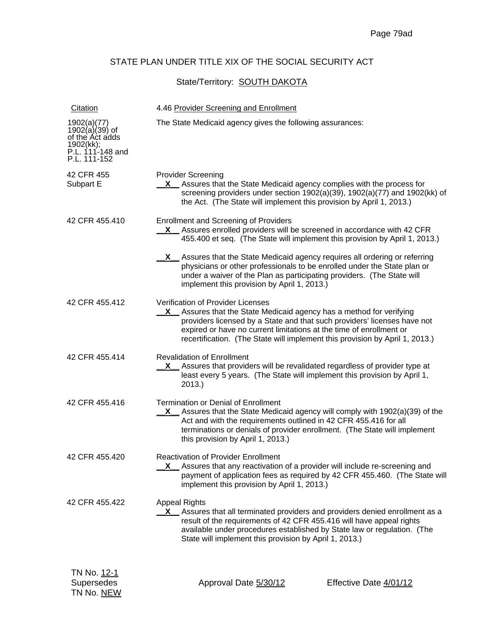## STATE PLAN UNDER TITLE XIX OF THE SOCIAL SECURITY ACT

## State/Territory: **SOUTH DAKOTA**

| Citation                                                                                         | 4.46 Provider Screening and Enrollment                                                                                                                                                                                                                                                                                                             |
|--------------------------------------------------------------------------------------------------|----------------------------------------------------------------------------------------------------------------------------------------------------------------------------------------------------------------------------------------------------------------------------------------------------------------------------------------------------|
| 1902(a)(77)<br>$1902(a)(39)$ of of the Act adds<br>1902(kk);<br>P.L. 111-148 and<br>P.L. 111-152 | The State Medicaid agency gives the following assurances:                                                                                                                                                                                                                                                                                          |
| 42 CFR 455<br>Subpart E                                                                          | <b>Provider Screening</b><br><b>X</b> Assures that the State Medicaid agency complies with the process for<br>screening providers under section 1902(a)(39), 1902(a)(77) and 1902(kk) of<br>the Act. (The State will implement this provision by April 1, 2013.)                                                                                   |
| 42 CFR 455.410                                                                                   | <b>Enrollment and Screening of Providers</b><br>X Assures enrolled providers will be screened in accordance with 42 CFR<br>455.400 et seq. (The State will implement this provision by April 1, 2013.)                                                                                                                                             |
|                                                                                                  | X Assures that the State Medicaid agency requires all ordering or referring<br>physicians or other professionals to be enrolled under the State plan or<br>under a waiver of the Plan as participating providers. (The State will<br>implement this provision by April 1, 2013.)                                                                   |
| 42 CFR 455.412                                                                                   | <b>Verification of Provider Licenses</b><br>X Assures that the State Medicaid agency has a method for verifying<br>providers licensed by a State and that such providers' licenses have not<br>expired or have no current limitations at the time of enrollment or<br>recertification. (The State will implement this provision by April 1, 2013.) |
| 42 CFR 455.414                                                                                   | <b>Revalidation of Enrollment</b><br>X Assures that providers will be revalidated regardless of provider type at<br>least every 5 years. (The State will implement this provision by April 1,<br>2013.                                                                                                                                             |
| 42 CFR 455.416                                                                                   | <b>Termination or Denial of Enrollment</b><br>$X$ Assures that the State Medicaid agency will comply with 1902(a)(39) of the<br>Act and with the requirements outlined in 42 CFR 455.416 for all<br>terminations or denials of provider enrollment. (The State will implement<br>this provision by April 1, 2013.)                                 |
| 42 CFR 455.420                                                                                   | <b>Reactivation of Provider Enrollment</b><br>X_ Assures that any reactivation of a provider will include re-screening and<br>payment of application fees as required by 42 CFR 455.460. (The State will<br>implement this provision by April 1, 2013.)                                                                                            |
| 42 CFR 455.422                                                                                   | <b>Appeal Rights</b><br>X _ Assures that all terminated providers and providers denied enrollment as a<br>result of the requirements of 42 CFR 455.416 will have appeal rights<br>available under procedures established by State law or regulation. (The<br>State will implement this provision by April 1, 2013.)                                |
| TN No. <u>12-1</u><br>Supersedes<br>TN No. NEW                                                   | Effective Date 4/01/12<br>Approval Date 5/30/12                                                                                                                                                                                                                                                                                                    |